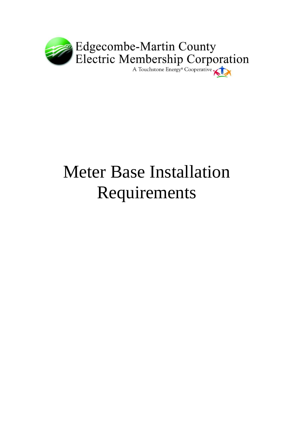

# Meter Base Installation Requirements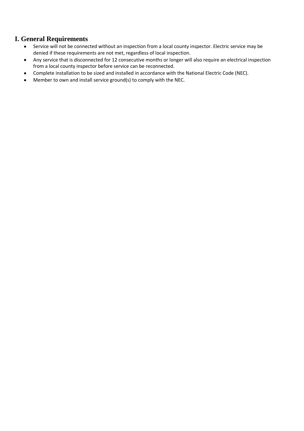# **I. General Requirements**

- Service will not be connected without an inspection from a local county inspector. Electric service may be  $\bullet$ denied if these requirements are not met, regardless of local inspection.
- Any service that is disconnected for 12 consecutive months or longer will also require an electrical inspection  $\bullet$  . from a local county inspector before service can be reconnected.
- Complete installation to be sized and installed in accordance with the National Electric Code (NEC).  $\bullet$
- Member to own and install service ground(s) to comply with the NEC.  $\bullet$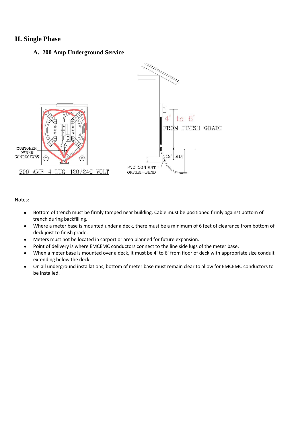# **II. Single Phase**

#### **A. 200 Amp Underground Service**



- Bottom of trench must be firmly tamped near building. Cable must be positioned firmly against bottom of  $\bullet$ trench during backfilling.
- Where a meter base is mounted under a deck, there must be a minimum of 6 feet of clearance from bottom of  $\bullet$ deck joist to finish grade.
- Meters must not be located in carport or area planned for future expansion.  $\bullet$
- Point of delivery is where EMCEMC conductors connect to the line side lugs of the meter base.  $\bullet$
- When a meter base is mounted over a deck, it must be 4' to 6' from floor of deck with appropriate size conduit  $\bullet$ extending below the deck.
- On all underground installations, bottom of meter base must remain clear to allow for EMCEMC conductors to  $\bullet$ be installed.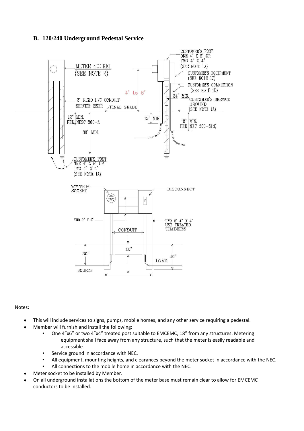#### **B. 120/240 Underground Pedestal Service**



- This will include services to signs, pumps, mobile homes, and any other service requiring a pedestal.
- Member will furnish and install the following:
	- One 4"x6" or two 4"x4" treated post suitable to EMCEMC, 18" from any structures. Metering equipment shall face away from any structure, such that the meter is easily readable and accessible.
	- Service ground in accordance with NEC.
	- All equipment, mounting heights, and clearances beyond the meter socket in accordance with the NEC.
	- All connections to the mobile home in accordance with the NEC.
- Meter socket to be installed by Member.
- On all underground installations the bottom of the meter base must remain clear to allow for EMCEMC conductors to be installed.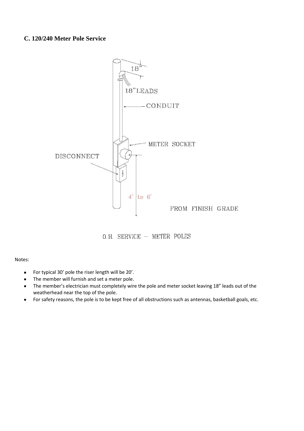#### **C. 120/240 Meter Pole Service**



O.H. SERVICE - METER POLES

- For typical 30' pole the riser length will be 20'.
- The member will furnish and set a meter pole.
- The member's electrician must completely wire the pole and meter socket leaving 18" leads out of the  $\bullet$ weatherhead near the top of the pole.
- For safety reasons, the pole is to be kept free of all obstructions such as antennas, basketball goals, etc.  $\bullet$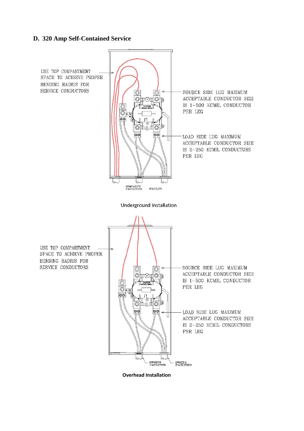## **D. 320 Amp Self-Contained Service**



**Overhead Installation**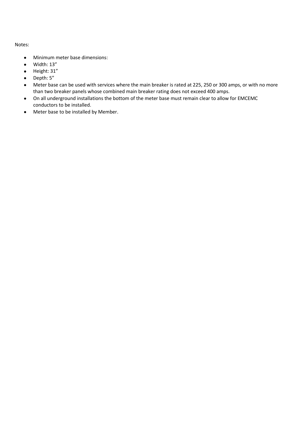- Minimum meter base dimensions:  $\bullet$
- Width: 13"  $\bullet$
- Height: 31"
- Depth: 5"
- Meter base can be used with services where the main breaker is rated at 225, 250 or 300 amps, or with no more  $\bullet$ than two breaker panels whose combined main breaker rating does not exceed 400 amps.
- On all underground installations the bottom of the meter base must remain clear to allow for EMCEMC  $\bullet$ conductors to be installed.
- Meter base to be installed by Member.  $\bullet$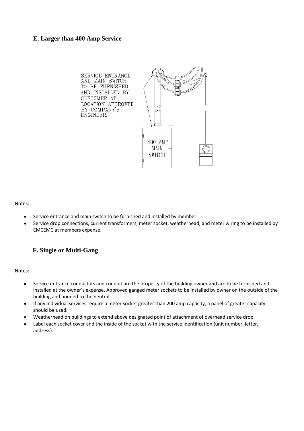#### **E. Larger than 400 Amp Service**



Notes:

- Service entrance and main switch to be furnished and installed by member.  $\bullet$
- Service drop connections, current transformers, meter socket, weatherhead, and meter wiring to be installed by  $\bullet$ EMCEMC at members expense.

#### **F. Single or Multi-Gang**

- $\bullet$ Service entrance conductors and conduit are the property of the building owner and are to be furnished and installed at the owner's expense. Approved ganged meter sockets to be installed by owner on the outside of the building and bonded to the neutral.
- If any individual services require a meter socket greater than 200 amp capacity, a panel of greater capacity  $\bullet$ should be used.
- Weatherhead on buildings to extend above designated point of attachment of overhead service drop.
- Label each socket cover and the inside of the socket with the service identification (unit number, letter,  $\bullet$ address).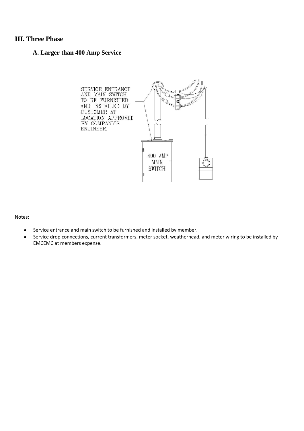## **III. Three Phase**

# **A. Larger than 400 Amp Service**



- Service entrance and main switch to be furnished and installed by member.  $\bullet$
- Service drop connections, current transformers, meter socket, weatherhead, and meter wiring to be installed by  $\bullet$ EMCEMC at members expense.